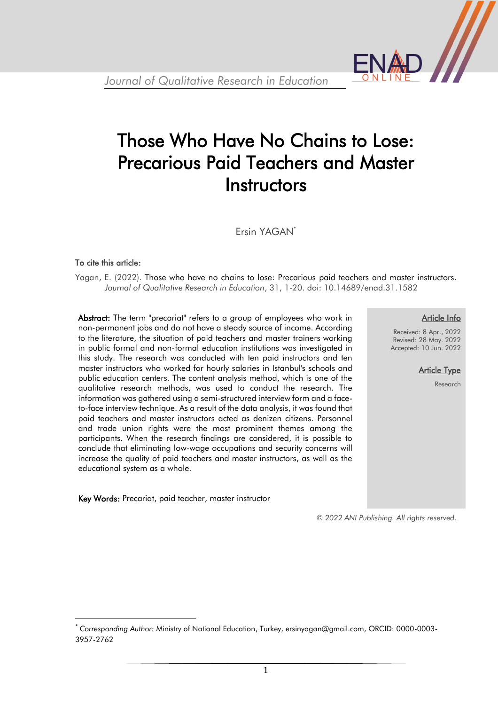

# Those Who Have No Chains to Lose: Precarious Paid Teachers and Master **Instructors**

Ersin YAGAN\*

#### To cite this article:

 $\overline{\phantom{a}}$ 

Yagan, E. (2022). Those who have no chains to lose: Precarious paid teachers and master instructors. *Journal of Qualitative Research in Education*, 31, 1-20. doi: 10.14689/enad.31.1582

Abstract: The term "precariat" refers to a group of employees who work in non-permanent jobs and do not have a steady source of income. According to the literature, the situation of paid teachers and master trainers working in public formal and non-formal education institutions was investigated in this study. The research was conducted with ten paid instructors and ten master instructors who worked for hourly salaries in Istanbul's schools and public education centers. The content analysis method, which is one of the qualitative research methods, was used to conduct the research. The information was gathered using a semi-structured interview form and a faceto-face interview technique. As a result of the data analysis, it was found that paid teachers and master instructors acted as denizen citizens. Personnel and trade union rights were the most prominent themes among the participants. When the research findings are considered, it is possible to conclude that eliminating low-wage occupations and security concerns will increase the quality of paid teachers and master instructors, as well as the educational system as a whole.

Key Words: Precariat, paid teacher, master instructor

#### Article Info

Received: 8 Apr., 2022 Revised: 28 May. 2022 Accepted: 10 Jun. 2022

> **Article Type** Research

*© 2022 ANI Publishing. All rights reserved.*

<sup>\*</sup> *Corresponding Author:* Ministry of National Education, Turkey, ersinyagan@gmail.com, ORCID: 0000-0003- 3957-2762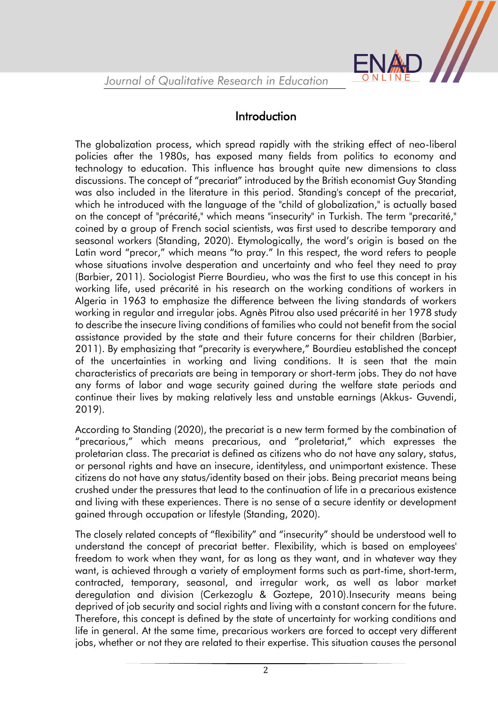

# Introduction

The globalization process, which spread rapidly with the striking effect of neo-liberal policies after the 1980s, has exposed many fields from politics to economy and technology to education. This influence has brought quite new dimensions to class discussions. The concept of "precariat" introduced by the British economist Guy Standing was also included in the literature in this period. Standing's concept of the precariat, which he introduced with the language of the "child of globalization," is actually based on the concept of "précarité," which means "insecurity" in Turkish. The term "precarité," coined by a group of French social scientists, was first used to describe temporary and seasonal workers (Standing, 2020). Etymologically, the word's origin is based on the Latin word "precor," which means "to pray." In this respect, the word refers to people whose situations involve desperation and uncertainty and who feel they need to pray (Barbier, 2011). Sociologist Pierre Bourdieu, who was the first to use this concept in his working life, used précarité in his research on the working conditions of workers in Algeria in 1963 to emphasize the difference between the living standards of workers working in regular and irregular jobs. Agnès Pitrou also used précarité in her 1978 study to describe the insecure living conditions of families who could not benefit from the social assistance provided by the state and their future concerns for their children (Barbier, 2011). By emphasizing that "precarity is everywhere," Bourdieu established the concept of the uncertainties in working and living conditions. It is seen that the main characteristics of precariats are being in temporary or short-term jobs. They do not have any forms of labor and wage security gained during the welfare state periods and continue their lives by making relatively less and unstable earnings (Akkus- Guvendi, 2019).

According to Standing (2020), the precariat is a new term formed by the combination of "precarious," which means precarious, and "proletariat," which expresses the proletarian class. The precariat is defined as citizens who do not have any salary, status, or personal rights and have an insecure, identityless, and unimportant existence. These citizens do not have any status/identity based on their jobs. Being precariat means being crushed under the pressures that lead to the continuation of life in a precarious existence and living with these experiences. There is no sense of a secure identity or development gained through occupation or lifestyle (Standing, 2020).

The closely related concepts of "flexibility" and "insecurity" should be understood well to understand the concept of precariat better. Flexibility, which is based on employees' freedom to work when they want, for as long as they want, and in whatever way they want, is achieved through a variety of employment forms such as part-time, short-term, contracted, temporary, seasonal, and irregular work, as well as labor market deregulation and division (Cerkezoglu & Goztepe, 2010).Insecurity means being deprived of job security and social rights and living with a constant concern for the future. Therefore, this concept is defined by the state of uncertainty for working conditions and life in general. At the same time, precarious workers are forced to accept very different jobs, whether or not they are related to their expertise. This situation causes the personal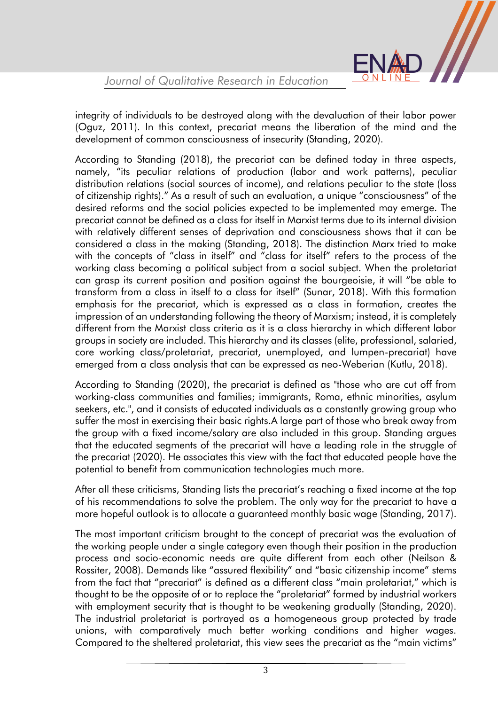

integrity of individuals to be destroyed along with the devaluation of their labor power (Oguz, 2011). In this context, precariat means the liberation of the mind and the development of common consciousness of insecurity (Standing, 2020).

According to Standing (2018), the precariat can be defined today in three aspects, namely, "its peculiar relations of production (labor and work patterns), peculiar distribution relations (social sources of income), and relations peculiar to the state (loss of citizenship rights)." As a result of such an evaluation, a unique "consciousness" of the desired reforms and the social policies expected to be implemented may emerge. The precariat cannot be defined as a class for itself in Marxist terms due to its internal division with relatively different senses of deprivation and consciousness shows that it can be considered a class in the making (Standing, 2018). The distinction Marx tried to make with the concepts of "class in itself" and "class for itself" refers to the process of the working class becoming a political subject from a social subject. When the proletariat can grasp its current position and position against the bourgeoisie, it will "be able to transform from a class in itself to a class for itself" (Sunar, 2018). With this formation emphasis for the precariat, which is expressed as a class in formation, creates the impression of an understanding following the theory of Marxism; instead, it is completely different from the Marxist class criteria as it is a class hierarchy in which different labor groups in society are included. This hierarchy and its classes (elite, professional, salaried, core working class/proletariat, precariat, unemployed, and lumpen-precariat) have emerged from a class analysis that can be expressed as neo-Weberian (Kutlu, 2018).

According to Standing (2020), the precariat is defined as "those who are cut off from working-class communities and families; immigrants, Roma, ethnic minorities, asylum seekers, etc.", and it consists of educated individuals as a constantly growing group who suffer the most in exercising their basic rights.A large part of those who break away from the group with a fixed income/salary are also included in this group. Standing argues that the educated segments of the precariat will have a leading role in the struggle of the precariat (2020). He associates this view with the fact that educated people have the potential to benefit from communication technologies much more.

After all these criticisms, Standing lists the precariat's reaching a fixed income at the top of his recommendations to solve the problem. The only way for the precariat to have a more hopeful outlook is to allocate a guaranteed monthly basic wage (Standing, 2017).

The most important criticism brought to the concept of precariat was the evaluation of the working people under a single category even though their position in the production process and socio-economic needs are quite different from each other (Neilson & Rossiter, 2008). Demands like "assured flexibility" and "basic citizenship income" stems from the fact that "precariat" is defined as a different class "main proletariat," which is thought to be the opposite of or to replace the "proletariat" formed by industrial workers with employment security that is thought to be weakening gradually (Standing, 2020). The industrial proletariat is portrayed as a homogeneous group protected by trade unions, with comparatively much better working conditions and higher wages. Compared to the sheltered proletariat, this view sees the precariat as the "main victims"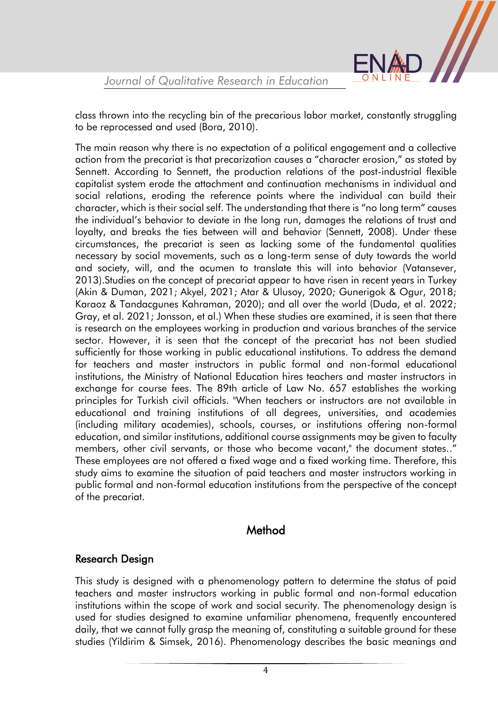

class thrown into the recycling bin of the precarious labor market, constantly struggling to be reprocessed and used (Bora, 2010).

The main reason why there is no expectation of a political engagement and a collective action from the precariat is that precarization causes a "character erosion," as stated by Sennett. According to Sennett, the production relations of the post-industrial flexible capitalist system erode the attachment and continuation mechanisms in individual and social relations, eroding the reference points where the individual can build their character, which is their social self. The understanding that there is "no long term" causes the individual's behavior to deviate in the long run, damages the relations of trust and loyalty, and breaks the ties between will and behavior (Sennett, 2008). Under these circumstances, the precariat is seen as lacking some of the fundamental qualities necessary by social movements, such as a long-term sense of duty towards the world and society, will, and the acumen to translate this will into behavior (Vatansever, 2013).Studies on the concept of precariat appear to have risen in recent years in Turkey (Akin & Duman, 2021; Akyel, 2021; Atar & Ulusoy, 2020; Gunerigok & Ogur, 2018; Karaoz & Tandacgunes Kahraman, 2020); and all over the world (Duda, et al. 2022; Gray, et al. 2021; Jonsson, et al.) When these studies are examined, it is seen that there is research on the employees working in production and various branches of the service sector. However, it is seen that the concept of the precariat has not been studied sufficiently for those working in public educational institutions. To address the demand for teachers and master instructors in public formal and non-formal educational institutions, the Ministry of National Education hires teachers and master instructors in exchange for course fees. The 89th article of Law No. 657 establishes the working principles for Turkish civil officials. "When teachers or instructors are not available in educational and training institutions of all degrees, universities, and academies (including military academies), schools, courses, or institutions offering non-formal education, and similar institutions, additional course assignments may be given to faculty members, other civil servants, or those who become vacant," the document states.." These employees are not offered a fixed wage and a fixed working time. Therefore, this study aims to examine the situation of paid teachers and master instructors working in public formal and non-formal education institutions from the perspective of the concept of the precariat.

## Method

#### Research Design

This study is designed with a phenomenology pattern to determine the status of paid teachers and master instructors working in public formal and non-formal education institutions within the scope of work and social security. The phenomenology design is used for studies designed to examine unfamiliar phenomena, frequently encountered daily, that we cannot fully grasp the meaning of, constituting a suitable ground for these studies (Yildirim & Simsek, 2016). Phenomenology describes the basic meanings and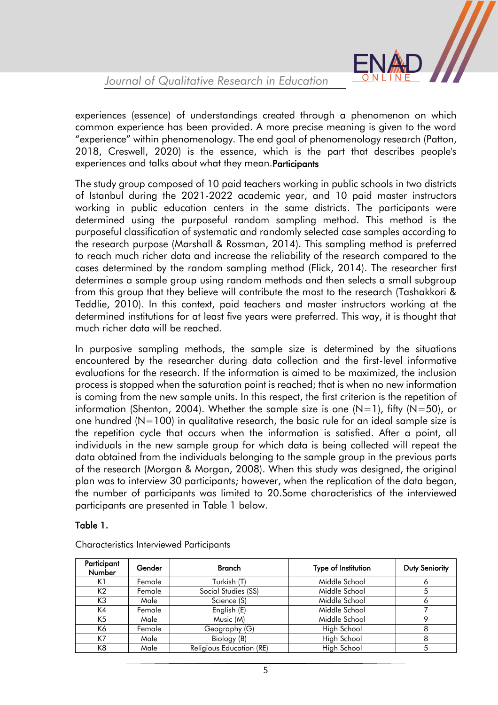

experiences (essence) of understandings created through a phenomenon on which common experience has been provided. A more precise meaning is given to the word "experience" within phenomenology. The end goal of phenomenology research (Patton, 2018, Creswell, 2020) is the essence, which is the part that describes people's experiences and talks about what they mean.Participants

The study group composed of 10 paid teachers working in public schools in two districts of Istanbul during the 2021-2022 academic year, and 10 paid master instructors working in public education centers in the same districts. The participants were determined using the purposeful random sampling method. This method is the purposeful classification of systematic and randomly selected case samples according to the research purpose (Marshall & Rossman, 2014). This sampling method is preferred to reach much richer data and increase the reliability of the research compared to the cases determined by the random sampling method (Flick, 2014). The researcher first determines a sample group using random methods and then selects a small subgroup from this group that they believe will contribute the most to the research (Tashakkori & Teddlie, 2010). In this context, paid teachers and master instructors working at the determined institutions for at least five years were preferred. This way, it is thought that much richer data will be reached.

In purposive sampling methods, the sample size is determined by the situations encountered by the researcher during data collection and the first-level informative evaluations for the research. If the information is aimed to be maximized, the inclusion process is stopped when the saturation point is reached; that is when no new information is coming from the new sample units. In this respect, the first criterion is the repetition of information (Shenton, 2004). Whether the sample size is one  $(N=1)$ , fifty  $(N=50)$ , or one hundred  $(N=100)$  in qualitative research, the basic rule for an ideal sample size is the repetition cycle that occurs when the information is satisfied. After a point, all individuals in the new sample group for which data is being collected will repeat the data obtained from the individuals belonging to the sample group in the previous parts of the research (Morgan & Morgan, 2008). When this study was designed, the original plan was to interview 30 participants; however, when the replication of the data began, the number of participants was limited to 20.Some characteristics of the interviewed participants are presented in Table 1 below.

#### Table 1.

| Participant<br><b>Number</b> | Gender | <b>Branch</b>            | Type of Institution | <b>Duty Seniority</b> |
|------------------------------|--------|--------------------------|---------------------|-----------------------|
| K1                           | Female | Turkish (T)              | Middle School       |                       |
| K <sub>2</sub>               | Female | Social Studies (SS)      | Middle School       | 5                     |
| K3                           | Male   | Science (S)              | Middle School       |                       |
| K4                           | Female | English (E)              | Middle School       |                       |
| K <sub>5</sub>               | Male   | Music (M)                | Middle School       |                       |
| K6                           | Female | Geography (G)            | High School         | 8                     |
| K7                           | Male   | Biology (B)              | High School         |                       |
| K <sub>8</sub>               | Male   | Religious Education (RE) | High School         |                       |

Characteristics Interviewed Participants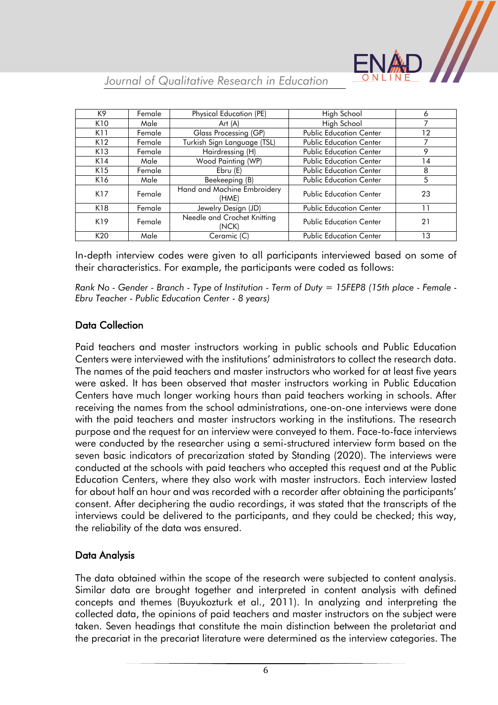

| K9              | Female | Physical Education (PE)              | High School                    | 6  |
|-----------------|--------|--------------------------------------|--------------------------------|----|
| K <sub>10</sub> | Male   | Art $(A)$                            | High School                    |    |
| K11             | Female | Glass Processing (GP)                | <b>Public Education Center</b> | 12 |
| K12             | Female | Turkish Sign Language (TSL)          | <b>Public Education Center</b> | 7  |
| K13             | Female | Hairdressing (H)                     | <b>Public Education Center</b> | 9  |
| K14             | Male   | Wood Painting (WP)                   | <b>Public Education Center</b> | 14 |
| K15             | Female | Ebru(E)                              | <b>Public Education Center</b> | 8  |
| K16             | Male   | Beekeeping (B)                       | <b>Public Education Center</b> | 5  |
| K17             | Female | Hand and Machine Embroidery<br>(HME) | <b>Public Education Center</b> | 23 |
| K18             | Female | Jewelry Design (JD)                  | <b>Public Education Center</b> | 11 |
| K19             | Female | Needle and Crochet Knitting<br>(NCK) | <b>Public Education Center</b> | 21 |
| K20             | Male   | Ceramic (C)                          | <b>Public Education Center</b> | 13 |

In-depth interview codes were given to all participants interviewed based on some of their characteristics. For example, the participants were coded as follows:

*Rank No - Gender - Branch - Type of Institution - Term of Duty = 15FEP8 (15th place - Female - Ebru Teacher - Public Education Center - 8 years)*

#### Data Collection

Paid teachers and master instructors working in public schools and Public Education Centers were interviewed with the institutions' administrators to collect the research data. The names of the paid teachers and master instructors who worked for at least five years were asked. It has been observed that master instructors working in Public Education Centers have much longer working hours than paid teachers working in schools. After receiving the names from the school administrations, one-on-one interviews were done with the paid teachers and master instructors working in the institutions. The research purpose and the request for an interview were conveyed to them. Face-to-face interviews were conducted by the researcher using a semi-structured interview form based on the seven basic indicators of precarization stated by Standing (2020). The interviews were conducted at the schools with paid teachers who accepted this request and at the Public Education Centers, where they also work with master instructors. Each interview lasted for about half an hour and was recorded with a recorder after obtaining the participants' consent. After deciphering the audio recordings, it was stated that the transcripts of the interviews could be delivered to the participants, and they could be checked; this way, the reliability of the data was ensured.

#### Data Analysis

The data obtained within the scope of the research were subjected to content analysis. Similar data are brought together and interpreted in content analysis with defined concepts and themes (Buyukozturk et al., 2011). In analyzing and interpreting the collected data, the opinions of paid teachers and master instructors on the subject were taken. Seven headings that constitute the main distinction between the proletariat and the precariat in the precariat literature were determined as the interview categories. The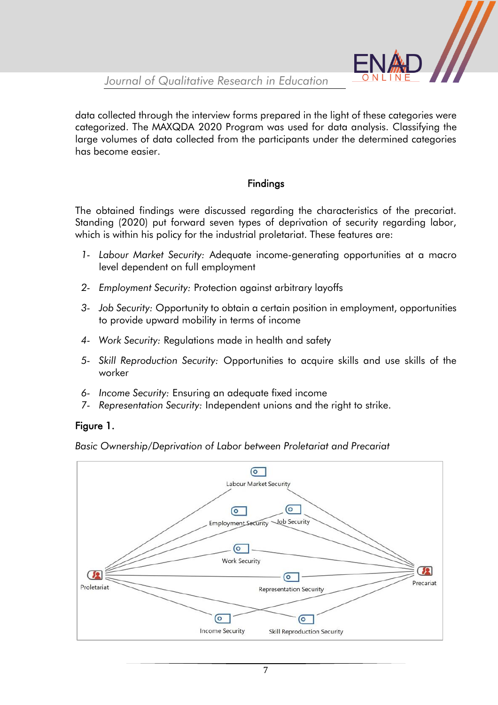data collected through the interview forms prepared in the light of these categories were categorized. The MAXQDA 2020 Program was used for data analysis. Classifying the large volumes of data collected from the participants under the determined categories has become easier.

### Findings

The obtained findings were discussed regarding the characteristics of the precariat. Standing (2020) put forward seven types of deprivation of security regarding labor, which is within his policy for the industrial proletariat. These features are:

- *1- Labour Market Security:* Adequate income-generating opportunities at a macro level dependent on full employment
- *2- Employment Security:* Protection against arbitrary layoffs
- *3- Job Security:* Opportunity to obtain a certain position in employment, opportunities to provide upward mobility in terms of income
- *4- Work Security:* Regulations made in health and safety
- *5- Skill Reproduction Security:* Opportunities to acquire skills and use skills of the worker
- *6- Income Security:* Ensuring an adequate fixed income
- *7- Representation Security:* Independent unions and the right to strike.

#### Figure 1.

*Basic Ownership/Deprivation of Labor between Proletariat and Precariat*

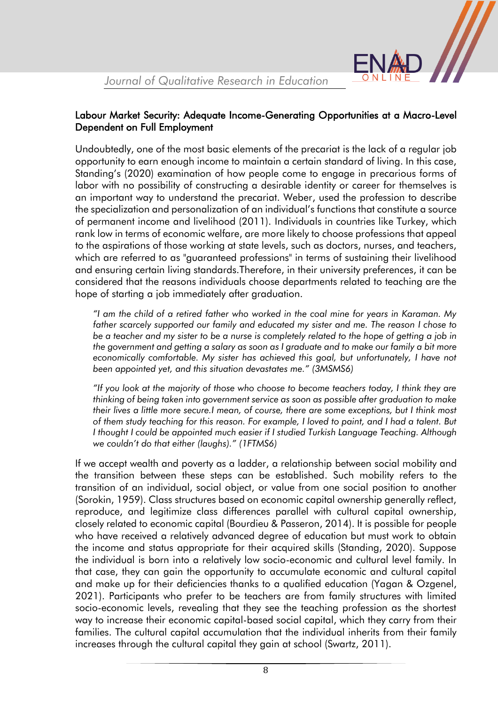#### Labour Market Security: Adequate Income-Generating Opportunities at a Macro-Level Dependent on Full Employment

Undoubtedly, one of the most basic elements of the precariat is the lack of a regular job opportunity to earn enough income to maintain a certain standard of living. In this case, Standing's (2020) examination of how people come to engage in precarious forms of labor with no possibility of constructing a desirable identity or career for themselves is an important way to understand the precariat. Weber, used the profession to describe the specialization and personalization of an individual's functions that constitute a source of permanent income and livelihood (2011). Individuals in countries like Turkey, which rank low in terms of economic welfare, are more likely to choose professions that appeal to the aspirations of those working at state levels, such as doctors, nurses, and teachers, which are referred to as "guaranteed professions" in terms of sustaining their livelihood and ensuring certain living standards.Therefore, in their university preferences, it can be considered that the reasons individuals choose departments related to teaching are the hope of starting a job immediately after graduation.

*"I am the child of a retired father who worked in the coal mine for years in Karaman. My father scarcely supported our family and educated my sister and me. The reason I chose to be a teacher and my sister to be a nurse is completely related to the hope of getting a job in the government and getting a salary as soon as I graduate and to make our family a bit more*  economically comfortable. My sister has achieved this goal, but unfortunately, I have not *been appointed yet, and this situation devastates me." (3MSMS6)*

*"If you look at the majority of those who choose to become teachers today, I think they are thinking of being taken into government service as soon as possible after graduation to make their lives a little more secure.I mean, of course, there are some exceptions, but I think most of them study teaching for this reason. For example, I loved to paint, and I had a talent. But I thought I could be appointed much easier if I studied Turkish Language Teaching. Although we couldn't do that either (laughs)." (1FTMS6)*

If we accept wealth and poverty as a ladder, a relationship between social mobility and the transition between these steps can be established. Such mobility refers to the transition of an individual, social object, or value from one social position to another (Sorokin, 1959). Class structures based on economic capital ownership generally reflect, reproduce, and legitimize class differences parallel with cultural capital ownership, closely related to economic capital (Bourdieu & Passeron, 2014). It is possible for people who have received a relatively advanced degree of education but must work to obtain the income and status appropriate for their acquired skills (Standing, 2020). Suppose the individual is born into a relatively low socio-economic and cultural level family. In that case, they can gain the opportunity to accumulate economic and cultural capital and make up for their deficiencies thanks to a qualified education (Yagan & Ozgenel, 2021). Participants who prefer to be teachers are from family structures with limited socio-economic levels, revealing that they see the teaching profession as the shortest way to increase their economic capital-based social capital, which they carry from their families. The cultural capital accumulation that the individual inherits from their family increases through the cultural capital they gain at school (Swartz, 2011).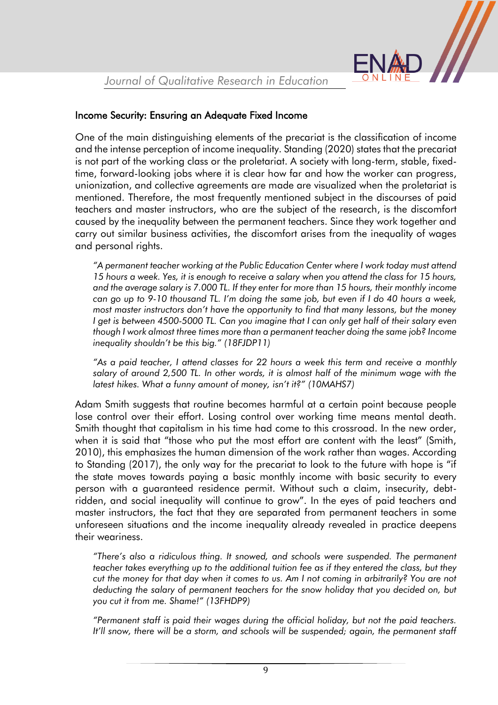

#### Income Security: Ensuring an Adequate Fixed Income

One of the main distinguishing elements of the precariat is the classification of income and the intense perception of income inequality. Standing (2020) states that the precariat is not part of the working class or the proletariat. A society with long-term, stable, fixedtime, forward-looking jobs where it is clear how far and how the worker can progress, unionization, and collective agreements are made are visualized when the proletariat is mentioned. Therefore, the most frequently mentioned subject in the discourses of paid teachers and master instructors, who are the subject of the research, is the discomfort caused by the inequality between the permanent teachers. Since they work together and carry out similar business activities, the discomfort arises from the inequality of wages and personal rights.

*"A permanent teacher working at the Public Education Center where I work today must attend 15 hours a week. Yes, it is enough to receive a salary when you attend the class for 15 hours, and the average salary is 7.000 TL. If they enter for more than 15 hours, their monthly income can go up to 9-10 thousand TL. I'm doing the same job, but even if I do 40 hours a week, most master instructors don't have the opportunity to find that many lessons, but the money I get is between 4500-5000 TL. Can you imagine that I can only get half of their salary even though I work almost three times more than a permanent teacher doing the same job? Income inequality shouldn't be this big." (18FJDP11)*

*"As a paid teacher, I attend classes for 22 hours a week this term and receive a monthly salary of around 2,500 TL. In other words, it is almost half of the minimum wage with the latest hikes. What a funny amount of money, isn't it?" (10MAHS7)*

Adam Smith suggests that routine becomes harmful at a certain point because people lose control over their effort. Losing control over working time means mental death. Smith thought that capitalism in his time had come to this crossroad. In the new order, when it is said that "those who put the most effort are content with the least" (Smith, 2010), this emphasizes the human dimension of the work rather than wages. According to Standing (2017), the only way for the precariat to look to the future with hope is "if the state moves towards paying a basic monthly income with basic security to every person with a guaranteed residence permit. Without such a claim, insecurity, debtridden, and social inequality will continue to grow". In the eyes of paid teachers and master instructors, the fact that they are separated from permanent teachers in some unforeseen situations and the income inequality already revealed in practice deepens their weariness.

*"There's also a ridiculous thing. It snowed, and schools were suspended. The permanent teacher takes everything up to the additional tuition fee as if they entered the class, but they cut the money for that day when it comes to us. Am I not coming in arbitrarily? You are not deducting the salary of permanent teachers for the snow holiday that you decided on, but you cut it from me. Shame!" (13FHDP9)*

*"Permanent staff is paid their wages during the official holiday, but not the paid teachers.*  It'll snow, there will be a storm, and schools will be suspended; again, the permanent staff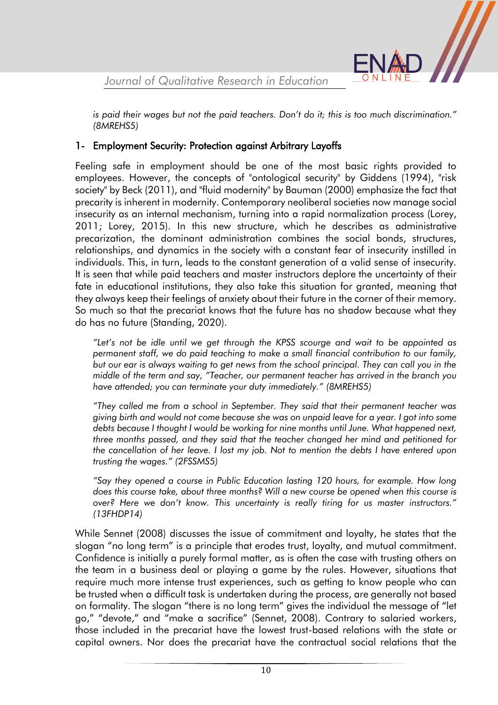*is paid their wages but not the paid teachers. Don't do it; this is too much discrimination." (8MREHS5)*

#### 1- Employment Security: Protection against Arbitrary Layoffs

Feeling safe in employment should be one of the most basic rights provided to employees. However, the concepts of "ontological security" by Giddens (1994), "risk society" by Beck (2011), and "fluid modernity" by Bauman (2000) emphasize the fact that precarity is inherent in modernity. Contemporary neoliberal societies now manage social insecurity as an internal mechanism, turning into a rapid normalization process (Lorey, 2011; Lorey, 2015). In this new structure, which he describes as administrative precarization, the dominant administration combines the social bonds, structures, relationships, and dynamics in the society with a constant fear of insecurity instilled in individuals. This, in turn, leads to the constant generation of a valid sense of insecurity. It is seen that while paid teachers and master instructors deplore the uncertainty of their fate in educational institutions, they also take this situation for granted, meaning that they always keep their feelings of anxiety about their future in the corner of their memory. So much so that the precariat knows that the future has no shadow because what they do has no future (Standing, 2020).

*"Let's not be idle until we get through the KPSS scourge and wait to be appointed as permanent staff, we do paid teaching to make a small financial contribution to our family, but our ear is always waiting to get news from the school principal. They can call you in the middle of the term and say, "Teacher, our permanent teacher has arrived in the branch you have attended; you can terminate your duty immediately." (8MREHS5)*

*"They called me from a school in September. They said that their permanent teacher was giving birth and would not come because she was on unpaid leave for a year. I got into some debts because I thought I would be working for nine months until June. What happened next, three months passed, and they said that the teacher changed her mind and petitioned for the cancellation of her leave. I lost my job. Not to mention the debts I have entered upon trusting the wages." (2FSSMS5)*

*"Say they opened a course in Public Education lasting 120 hours, for example. How long does this course take, about three months? Will a new course be opened when this course is over? Here we don't know. This uncertainty is really tiring for us master instructors." (13FHDP14)*

While Sennet (2008) discusses the issue of commitment and loyalty, he states that the slogan "no long term" is a principle that erodes trust, loyalty, and mutual commitment. Confidence is initially a purely formal matter, as is often the case with trusting others on the team in a business deal or playing a game by the rules. However, situations that require much more intense trust experiences, such as getting to know people who can be trusted when a difficult task is undertaken during the process, are generally not based on formality. The slogan "there is no long term" gives the individual the message of "let go," "devote," and "make a sacrifice" (Sennet, 2008). Contrary to salaried workers, those included in the precariat have the lowest trust-based relations with the state or capital owners. Nor does the precariat have the contractual social relations that the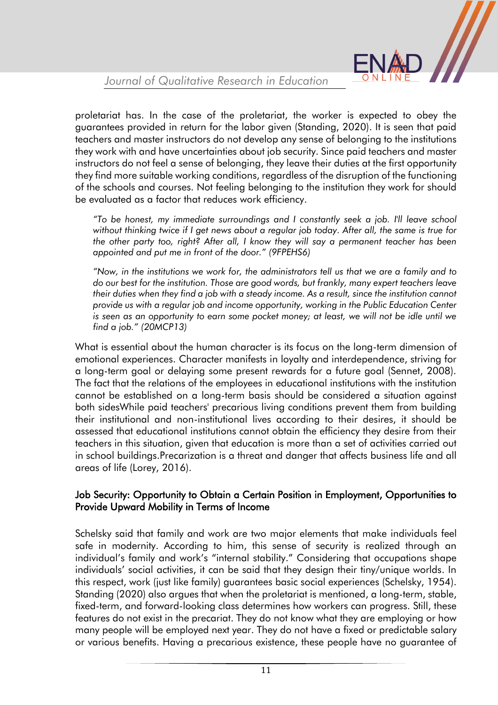

proletariat has. In the case of the proletariat, the worker is expected to obey the guarantees provided in return for the labor given (Standing, 2020). It is seen that paid teachers and master instructors do not develop any sense of belonging to the institutions they work with and have uncertainties about job security. Since paid teachers and master instructors do not feel a sense of belonging, they leave their duties at the first opportunity they find more suitable working conditions, regardless of the disruption of the functioning of the schools and courses. Not feeling belonging to the institution they work for should be evaluated as a factor that reduces work efficiency.

*"To be honest, my immediate surroundings and I constantly seek a job. I'll leave school without thinking twice if I get news about a regular job today. After all, the same is true for the other party too, right? After all, I know they will say a permanent teacher has been appointed and put me in front of the door." (9FPEHS6)*

*"Now, in the institutions we work for, the administrators tell us that we are a family and to do our best for the institution. Those are good words, but frankly, many expert teachers leave their duties when they find a job with a steady income. As a result, since the institution cannot provide us with a regular job and income opportunity, working in the Public Education Center is seen as an opportunity to earn some pocket money; at least, we will not be idle until we find a job." (20MCP13)*

What is essential about the human character is its focus on the long-term dimension of emotional experiences. Character manifests in loyalty and interdependence, striving for a long-term goal or delaying some present rewards for a future goal (Sennet, 2008). The fact that the relations of the employees in educational institutions with the institution cannot be established on a long-term basis should be considered a situation against both sidesWhile paid teachers' precarious living conditions prevent them from building their institutional and non-institutional lives according to their desires, it should be assessed that educational institutions cannot obtain the efficiency they desire from their teachers in this situation, given that education is more than a set of activities carried out in school buildings.Precarization is a threat and danger that affects business life and all areas of life (Lorey, 2016).

#### Job Security: Opportunity to Obtain a Certain Position in Employment, Opportunities to Provide Upward Mobility in Terms of Income

Schelsky said that family and work are two major elements that make individuals feel safe in modernity. According to him, this sense of security is realized through an individual's family and work's "internal stability." Considering that occupations shape individuals' social activities, it can be said that they design their tiny/unique worlds. In this respect, work (just like family) guarantees basic social experiences (Schelsky, 1954). Standing (2020) also argues that when the proletariat is mentioned, a long-term, stable, fixed-term, and forward-looking class determines how workers can progress. Still, these features do not exist in the precariat. They do not know what they are employing or how many people will be employed next year. They do not have a fixed or predictable salary or various benefits. Having a precarious existence, these people have no guarantee of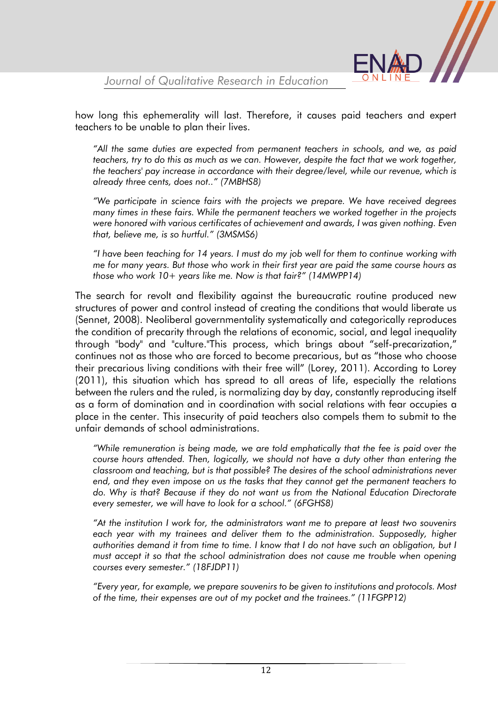

how long this ephemerality will last. Therefore, it causes paid teachers and expert teachers to be unable to plan their lives.

*"All the same duties are expected from permanent teachers in schools, and we, as paid teachers, try to do this as much as we can. However, despite the fact that we work together, the teachers' pay increase in accordance with their degree/level, while our revenue, which is already three cents, does not.." (7MBHS8)*

*"We participate in science fairs with the projects we prepare. We have received degrees many times in these fairs. While the permanent teachers we worked together in the projects were honored with various certificates of achievement and awards, I was given nothing. Even that, believe me, is so hurtful." (3MSMS6)*

*"I have been teaching for 14 years. I must do my job well for them to continue working with me for many years. But those who work in their first year are paid the same course hours as those who work 10+ years like me. Now is that fair?" (14MWPP14)*

The search for revolt and flexibility against the bureaucratic routine produced new structures of power and control instead of creating the conditions that would liberate us (Sennet, 2008). Neoliberal governmentality systematically and categorically reproduces the condition of precarity through the relations of economic, social, and legal inequality through "body" and "culture."This process, which brings about "self-precarization," continues not as those who are forced to become precarious, but as "those who choose their precarious living conditions with their free will" (Lorey, 2011). According to Lorey (2011), this situation which has spread to all areas of life, especially the relations between the rulers and the ruled, is normalizing day by day, constantly reproducing itself as a form of domination and in coordination with social relations with fear occupies a place in the center. This insecurity of paid teachers also compels them to submit to the unfair demands of school administrations.

*"While remuneration is being made, we are told emphatically that the fee is paid over the course hours attended. Then, logically, we should not have a duty other than entering the classroom and teaching, but is that possible? The desires of the school administrations never end, and they even impose on us the tasks that they cannot get the permanent teachers to do. Why is that? Because if they do not want us from the National Education Directorate every semester, we will have to look for a school." (6FGHS8)*

*"At the institution I work for, the administrators want me to prepare at least two souvenirs*  each year with my trainees and deliver them to the administration. Supposedly, higher *authorities demand it from time to time. I know that I do not have such an obligation, but I must accept it so that the school administration does not cause me trouble when opening courses every semester." (18FJDP11)*

*"Every year, for example, we prepare souvenirs to be given to institutions and protocols. Most of the time, their expenses are out of my pocket and the trainees." (11FGPP12)*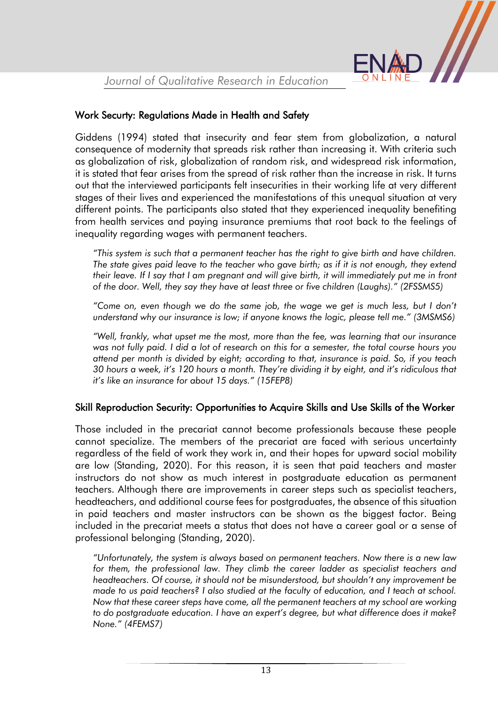#### Work Securty: Regulations Made in Health and Safety

Giddens (1994) stated that insecurity and fear stem from globalization, a natural consequence of modernity that spreads risk rather than increasing it. With criteria such as globalization of risk, globalization of random risk, and widespread risk information, it is stated that fear arises from the spread of risk rather than the increase in risk. It turns out that the interviewed participants felt insecurities in their working life at very different stages of their lives and experienced the manifestations of this unequal situation at very different points. The participants also stated that they experienced inequality benefiting from health services and paying insurance premiums that root back to the feelings of inequality regarding wages with permanent teachers.

*"This system is such that a permanent teacher has the right to give birth and have children. The state gives paid leave to the teacher who gave birth; as if it is not enough, they extend their leave. If I say that I am pregnant and will give birth, it will immediately put me in front of the door. Well, they say they have at least three or five children (Laughs)." (2FSSMS5)*

*"Come on, even though we do the same job, the wage we get is much less, but I don't understand why our insurance is low; if anyone knows the logic, please tell me." (3MSMS6)*

*"Well, frankly, what upset me the most, more than the fee, was learning that our insurance was not fully paid. I did a lot of research on this for a semester, the total course hours you attend per month is divided by eight; according to that, insurance is paid. So, if you teach 30 hours a week, it's 120 hours a month. They're dividing it by eight, and it's ridiculous that it's like an insurance for about 15 days." (15FEP8)*

#### Skill Reproduction Security: Opportunities to Acquire Skills and Use Skills of the Worker

Those included in the precariat cannot become professionals because these people cannot specialize. The members of the precariat are faced with serious uncertainty regardless of the field of work they work in, and their hopes for upward social mobility are low (Standing, 2020). For this reason, it is seen that paid teachers and master instructors do not show as much interest in postgraduate education as permanent teachers. Although there are improvements in career steps such as specialist teachers, headteachers, and additional course fees for postgraduates, the absence of this situation in paid teachers and master instructors can be shown as the biggest factor. Being included in the precariat meets a status that does not have a career goal or a sense of professional belonging (Standing, 2020).

*"Unfortunately, the system is always based on permanent teachers. Now there is a new law*  for them, the professional law. They climb the career ladder as specialist teachers and *headteachers. Of course, it should not be misunderstood, but shouldn't any improvement be made to us paid teachers? I also studied at the faculty of education, and I teach at school. Now that these career steps have come, all the permanent teachers at my school are working to do postgraduate education. I have an expert's degree, but what difference does it make? None." (4FEMS7)*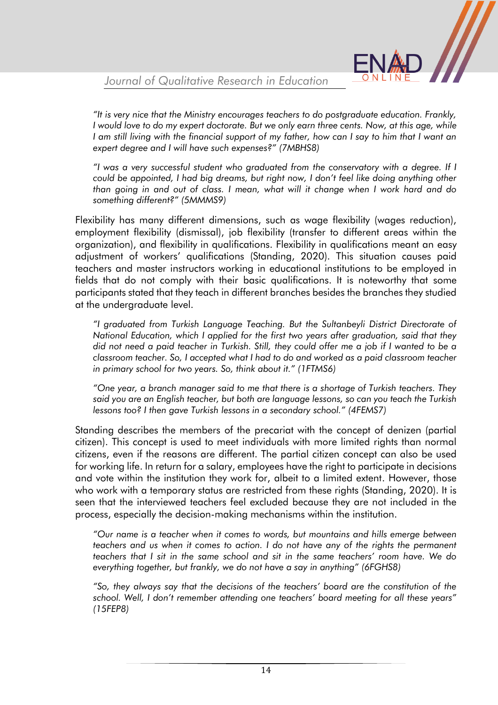

*"It is very nice that the Ministry encourages teachers to do postgraduate education. Frankly, I would love to do my expert doctorate. But we only earn three cents. Now, at this age, while I am still living with the financial support of my father, how can I say to him that I want an expert degree and I will have such expenses?" (7MBHS8)*

*"I was a very successful student who graduated from the conservatory with a degree. If I could be appointed, I had big dreams, but right now, I don't feel like doing anything other than going in and out of class. I mean, what will it change when I work hard and do something different?" (5MMMS9)*

Flexibility has many different dimensions, such as wage flexibility (wages reduction), employment flexibility (dismissal), job flexibility (transfer to different areas within the organization), and flexibility in qualifications. Flexibility in qualifications meant an easy adjustment of workers' qualifications (Standing, 2020). This situation causes paid teachers and master instructors working in educational institutions to be employed in fields that do not comply with their basic qualifications. It is noteworthy that some participants stated that they teach in different branches besides the branches they studied at the undergraduate level.

*"I graduated from Turkish Language Teaching. But the Sultanbeyli District Directorate of National Education, which I applied for the first two years after graduation, said that they did not need a paid teacher in Turkish. Still, they could offer me a job if I wanted to be a classroom teacher. So, I accepted what I had to do and worked as a paid classroom teacher in primary school for two years. So, think about it." (1FTMS6)*

*"One year, a branch manager said to me that there is a shortage of Turkish teachers. They said you are an English teacher, but both are language lessons, so can you teach the Turkish lessons too? I then gave Turkish lessons in a secondary school." (4FEMS7)*

Standing describes the members of the precariat with the concept of denizen (partial citizen). This concept is used to meet individuals with more limited rights than normal citizens, even if the reasons are different. The partial citizen concept can also be used for working life. In return for a salary, employees have the right to participate in decisions and vote within the institution they work for, albeit to a limited extent. However, those who work with a temporary status are restricted from these rights (Standing, 2020). It is seen that the interviewed teachers feel excluded because they are not included in the process, especially the decision-making mechanisms within the institution.

*"Our name is a teacher when it comes to words, but mountains and hills emerge between teachers and us when it comes to action. I do not have any of the rights the permanent teachers that I sit in the same school and sit in the same teachers' room have. We do everything together, but frankly, we do not have a say in anything" (6FGHS8)*

*"So, they always say that the decisions of the teachers' board are the constitution of the school. Well, I don't remember attending one teachers' board meeting for all these years" (15FEP8)*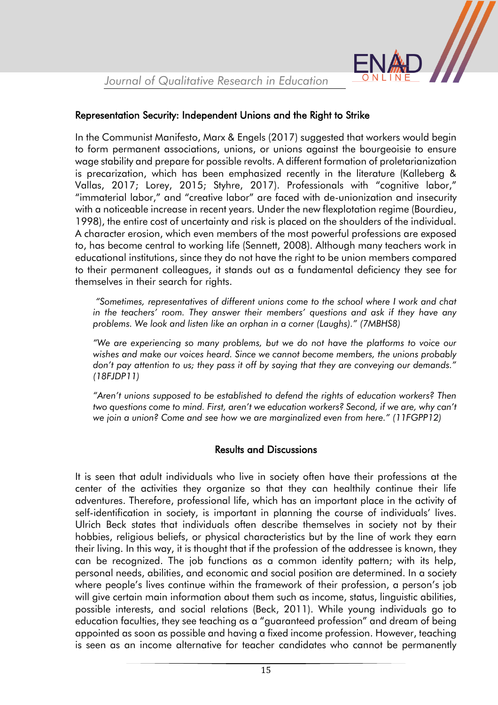

#### Representation Security: Independent Unions and the Right to Strike

In the Communist Manifesto, Marx & Engels (2017) suggested that workers would begin to form permanent associations, unions, or unions against the bourgeoisie to ensure wage stability and prepare for possible revolts. A different formation of proletarianization is precarization, which has been emphasized recently in the literature (Kalleberg & Vallas, 2017; Lorey, 2015; Styhre, 2017). Professionals with "cognitive labor," "immaterial labor," and "creative labor" are faced with de-unionization and insecurity with a noticeable increase in recent years. Under the new flexplotation regime (Bourdieu, 1998), the entire cost of uncertainty and risk is placed on the shoulders of the individual. A character erosion, which even members of the most powerful professions are exposed to, has become central to working life (Sennett, 2008). Although many teachers work in educational institutions, since they do not have the right to be union members compared to their permanent colleagues, it stands out as a fundamental deficiency they see for themselves in their search for rights.

*"Sometimes, representatives of different unions come to the school where I work and chat in the teachers' room. They answer their members' questions and ask if they have any problems. We look and listen like an orphan in a corner (Laughs)." (7MBHS8)*

*"We are experiencing so many problems, but we do not have the platforms to voice our wishes and make our voices heard. Since we cannot become members, the unions probably don't pay attention to us; they pass it off by saying that they are conveying our demands." (18FJDP11)*

*"Aren't unions supposed to be established to defend the rights of education workers? Then two questions come to mind. First, aren't we education workers? Second, if we are, why can't we join a union? Come and see how we are marginalized even from here." (11FGPP12)*

#### Results and Discussions

It is seen that adult individuals who live in society often have their professions at the center of the activities they organize so that they can healthily continue their life adventures. Therefore, professional life, which has an important place in the activity of self-identification in society, is important in planning the course of individuals' lives. Ulrich Beck states that individuals often describe themselves in society not by their hobbies, religious beliefs, or physical characteristics but by the line of work they earn their living. In this way, it is thought that if the profession of the addressee is known, they can be recognized. The job functions as a common identity pattern; with its help, personal needs, abilities, and economic and social position are determined. In a society where people's lives continue within the framework of their profession, a person's job will give certain main information about them such as income, status, linguistic abilities, possible interests, and social relations (Beck, 2011). While young individuals go to education faculties, they see teaching as a "guaranteed profession" and dream of being appointed as soon as possible and having a fixed income profession. However, teaching is seen as an income alternative for teacher candidates who cannot be permanently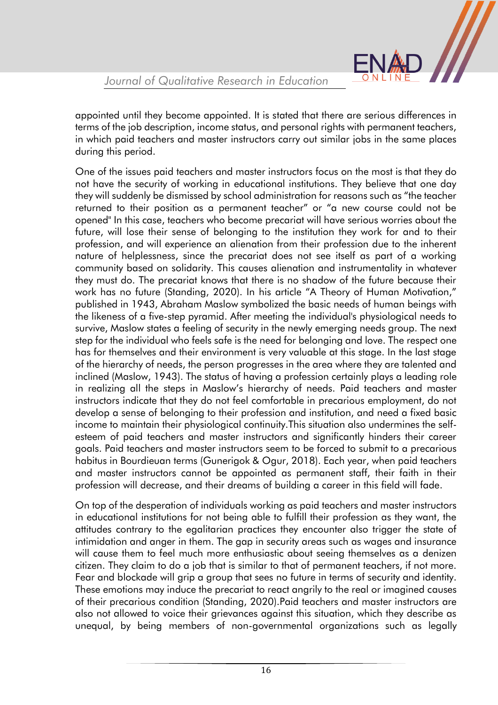appointed until they become appointed. It is stated that there are serious differences in terms of the job description, income status, and personal rights with permanent teachers, in which paid teachers and master instructors carry out similar jobs in the same places during this period.

One of the issues paid teachers and master instructors focus on the most is that they do not have the security of working in educational institutions. They believe that one day they will suddenly be dismissed by school administration for reasons such as "the teacher returned to their position as a permanent teacher" or "a new course could not be opened" In this case, teachers who become precariat will have serious worries about the future, will lose their sense of belonging to the institution they work for and to their profession, and will experience an alienation from their profession due to the inherent nature of helplessness, since the precariat does not see itself as part of a working community based on solidarity. This causes alienation and instrumentality in whatever they must do. The precariat knows that there is no shadow of the future because their work has no future (Standing, 2020). In his article "A Theory of Human Motivation," published in 1943, Abraham Maslow symbolized the basic needs of human beings with the likeness of a five-step pyramid. After meeting the individual's physiological needs to survive, Maslow states a feeling of security in the newly emerging needs group. The next step for the individual who feels safe is the need for belonging and love. The respect one has for themselves and their environment is very valuable at this stage. In the last stage of the hierarchy of needs, the person progresses in the area where they are talented and inclined (Maslow, 1943). The status of having a profession certainly plays a leading role in realizing all the steps in Maslow's hierarchy of needs. Paid teachers and master instructors indicate that they do not feel comfortable in precarious employment, do not develop a sense of belonging to their profession and institution, and need a fixed basic income to maintain their physiological continuity.This situation also undermines the selfesteem of paid teachers and master instructors and significantly hinders their career goals. Paid teachers and master instructors seem to be forced to submit to a precarious habitus in Bourdieuan terms (Gunerigok & Ogur, 2018). Each year, when paid teachers and master instructors cannot be appointed as permanent staff, their faith in their profession will decrease, and their dreams of building a career in this field will fade.

On top of the desperation of individuals working as paid teachers and master instructors in educational institutions for not being able to fulfill their profession as they want, the attitudes contrary to the egalitarian practices they encounter also trigger the state of intimidation and anger in them. The gap in security areas such as wages and insurance will cause them to feel much more enthusiastic about seeing themselves as a denizen citizen. They claim to do a job that is similar to that of permanent teachers, if not more. Fear and blockade will grip a group that sees no future in terms of security and identity. These emotions may induce the precariat to react angrily to the real or imagined causes of their precarious condition (Standing, 2020).Paid teachers and master instructors are also not allowed to voice their grievances against this situation, which they describe as unequal, by being members of non-governmental organizations such as legally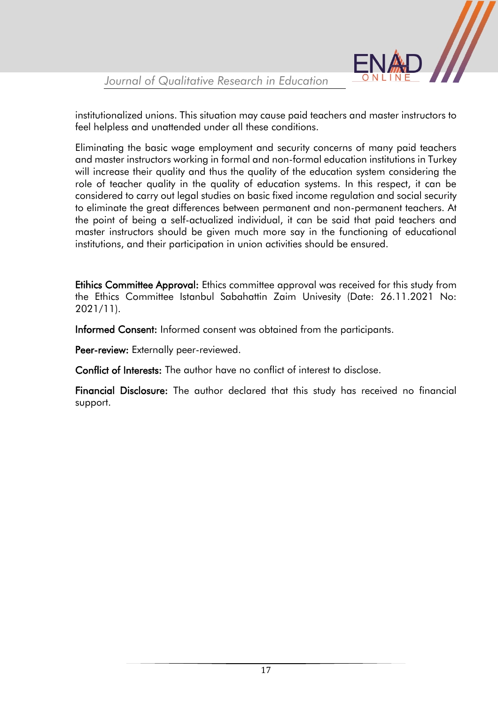

institutionalized unions. This situation may cause paid teachers and master instructors to feel helpless and unattended under all these conditions.

Eliminating the basic wage employment and security concerns of many paid teachers and master instructors working in formal and non-formal education institutions in Turkey will increase their quality and thus the quality of the education system considering the role of teacher quality in the quality of education systems. In this respect, it can be considered to carry out legal studies on basic fixed income regulation and social security to eliminate the great differences between permanent and non-permanent teachers. At the point of being a self-actualized individual, it can be said that paid teachers and master instructors should be given much more say in the functioning of educational institutions, and their participation in union activities should be ensured.

Etihics Committee Approval: Ethics committee approval was received for this study from the Ethics Committee Istanbul Sabahattin Zaim Univesity (Date: 26.11.2021 No: 2021/11).

Informed Consent: Informed consent was obtained from the participants.

Peer-review: Externally peer-reviewed.

Conflict of Interests: The author have no conflict of interest to disclose.

Financial Disclosure: The author declared that this study has received no financial support.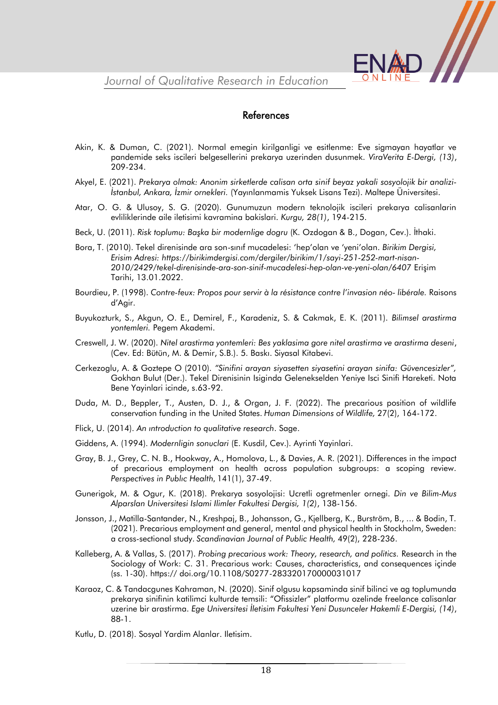

#### References

- Akin, K. & Duman, C. (2021). Normal emegin kirilganligi ve esitlenme: Eve sigmayan hayatlar ve pandemide seks iscileri belgesellerini prekarya uzerinden dusunmek. *ViraVerita E-Dergi, (13)*, 209-234.
- Akyel, E. (2021). *Prekarya olmak: Anonim sirketlerde calisan orta sinif beyaz yakali sosyolojik bir analizi-İstanbul, Ankara, İzmir ornekleri.* (Yayınlanmamis Yuksek Lisans Tezi). Maltepe Üniversitesi.
- Atar, O. G. & Ulusoy, S. G. (2020). Gunumuzun modern teknolojik iscileri prekarya calisanlarin evliliklerinde aile iletisimi kavramina bakislari. *Kurgu, 28(1)*, 194-215.
- Beck, U. (2011). *Risk toplumu: Başka bir modernlige dogru* (K. Ozdogan & B., Dogan, Cev.). İthaki.
- Bora, T. (2010). Tekel direnisinde ara son-sınıf mucadelesi: 'hep'olan ve 'yeni'olan. *Birikim Dergisi, Erisim Adresi: https://birikimdergisi.com/dergiler/birikim/1/sayi-251-252-mart-nisan-2010/2429/tekel-direnisinde-ara-son-sinif-mucadelesi-hep-olan-ve-yeni-olan/6407* Erişim Tarihi, 13.01.2022.
- Bourdieu, P. (1998). *Contre-feux: Propos pour servir à la résistance contre l'invasion néo- libérale.* Raisons d'Agir.
- Buyukozturk, S., Akgun, O. E., Demirel, F., Karadeniz, S. & Cakmak, E. K. (2011). *Bilimsel arastirma yontemleri.* Pegem Akademi.
- Creswell, J. W. (2020). *Nitel arastirma yontemleri: Bes yaklasima gore nitel arastirma ve arastirma deseni*, (Cev. Ed: Bütün, M. & Demir, S.B.). 5. Baskı. Siyasal Kitabevi.
- Cerkezoglu, A. & Goztepe O (2010). *"Sinifini arayan siyasetten siyasetini arayan sinifa: Güvencesizler",* Gokhan Bulut (Der.). Tekel Direnisinin Isiginda Gelenekselden Yeniye Isci Sinifi Hareketi. Nota Bene Yayinlari icinde, s.63-92.
- Duda, M. D., Beppler, T., Austen, D. J., & Organ, J. F. (2022). The precarious position of wildlife conservation funding in the United States. *Human Dimensions of Wildlife,* 27(2), 164-172.
- Flick, U. (2014). *An ıntroduction to qualitative research*. Sage.
- Giddens, A. (1994). *Modernligin sonuclari* (E. Kusdil, Cev.). Ayrinti Yayinlari.
- Gray, B. J., Grey, C. N. B., Hookway, A., Homolova, L., & Davies, A. R. (2021). Differences in the impact of precarious employment on health across population subgroups: a scoping review. *Perspectives in Publıc Health*, 141(1), 37-49.
- Gunerigok, M. & Ogur, K. (2018). Prekarya sosyolojisi: Ucretli ogretmenler ornegi. *Din ve Bilim-Mus Alparslan Universitesi Islami Ilimler Fakultesi Dergisi, 1(2)*, 138-156.
- Jonsson, J., Matilla-Santander, N., Kreshpaj, B., Johansson, G., Kjellberg, K., Burström, B., ... & Bodin, T. (2021). Precarious employment and general, mental and physical health in Stockholm, Sweden: a cross-sectional study. *Scandinavian Journal of Public Health,* 49(2), 228-236.
- Kalleberg, A. & Vallas, S. (2017). *Probing precarious work: Theory, research, and politics.* Research in the Sociology of Work: C. 31. Precarious work: Causes, characteristics, and consequences içinde (ss. 1-30). https:// doi.org/10.1108/S0277-283320170000031017
- Karaoz, C. & Tandacgunes Kahraman, N. (2020). Sinif olgusu kapsaminda sinif bilinci ve ag toplumunda prekarya sinifinin katilimci kulturde temsili: "Ofissizler" platformu ozelinde freelance calisanlar uzerine bir arastirma. *Ege Universitesi İletisim Fakultesi Yeni Dusunceler Hakemli E-Dergisi, (14)*, 88-1.
- Kutlu, D. (2018). Sosyal Yardim Alanlar. Iletisim.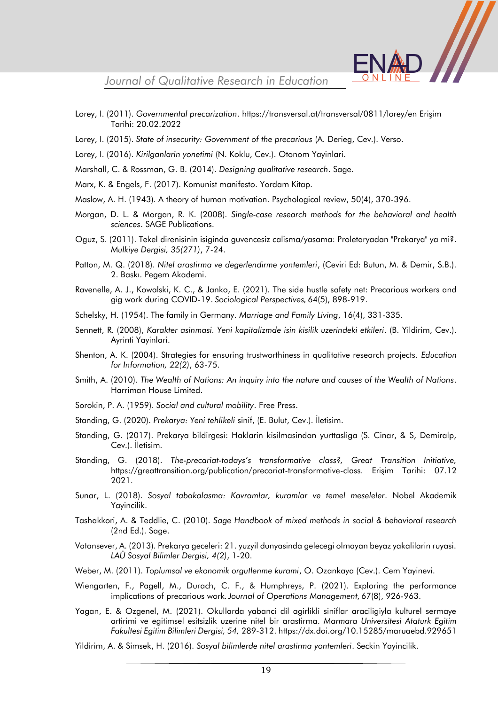- 
- Lorey, I. (2011). *Governmental precarization*.<https://transversal.at/transversal/0811/lorey/en> Erişim Tarihi: 20.02.2022
- Lorey, I. (2015). *State of insecurity: Government of the precarious* (A. Derieg, Cev.). Verso.
- Lorey, I. (2016). *Kirilganlarin yonetimi* (N. Koklu, Cev.). Otonom Yayinlari.
- Marshall, C. & Rossman, G. B. (2014). *Designing qualitative research*. Sage.
- Marx, K. & Engels, F. (2017). Komunist manifesto. Yordam Kitap.
- Maslow, A. H. (1943). A theory of human motivation. Psychological review, 50(4), 370-396.
- Morgan, D. L. & Morgan, R. K. (2008). *Single-case research methods for the behavioral and health sciences*. SAGE Publications.
- Oguz, S. (2011). Tekel direnisinin isiginda guvencesiz calisma/yasama: Proletaryadan "Prekarya" ya mi?. *Mulkiye Dergisi, 35(271)*, 7-24.
- Patton, M. Q. (2018). *Nitel arastirma ve degerlendirme yontemleri*, (Ceviri Ed: Butun, M. & Demir, S.B.). 2. Baskı. Pegem Akademi.
- Ravenelle, A. J., Kowalski, K. C., & Janko, E. (2021). The side hustle safety net: Precarious workers and gig work during COVID-19. *Sociological Perspectives*, 64(5), 898-919.
- Schelsky, H. (1954). The family in Germany. *Marriage and Family Living*, 16(4), 331-335.
- Sennett, R. (2008), *Karakter asinmasi. Yeni kapitalizmde isin kisilik uzerindeki etkileri*. (B. Yildirim, Cev.). Ayrinti Yayinlari.
- Shenton, A. K. (2004). Strategies for ensuring trustworthiness in qualitative research projects. *Education for Information, 22(2)*, 63-75.
- Smith, A. (2010). *The Wealth of Nations: An inquiry into the nature and causes of the Wealth of Nations*. Harriman House Limited.
- Sorokin, P. A. (1959). *Social and cultural mobility*. Free Press.
- Standing, G. (2020). *Prekarya: Yeni tehlikeli* sinif, (E. Bulut, Cev.). İletisim.
- Standing, G. (2017). Prekarya bildirgesi: Haklarin kisilmasindan yurttasliga (S. Cinar, & S, Demiralp, Cev.). İletisim.
- Standing, G. (2018). *The-precariat-todays's transformative class?, Great Transition Initiative,* <https://greattransition.org/publication/precariat-transformative-class>. Erişim Tarihi: 07.12 2021.
- Sunar, L. (2018). *Sosyal tabakalasma: Kavramlar, kuramlar ve temel meseleler*. Nobel Akademik Yayincilik.
- Tashakkori, A. & Teddlie, C. (2010). *Sage Handbook of mixed methods in social & behavioral research* (2nd Ed.). Sage.
- Vatansever, A. (2013). Prekarya geceleri: 21. yuzyil dunyasinda gelecegi olmayan beyaz yakalilarin ruyasi. *LAÜ Sosyal Bilimler Dergisi, 4(2)*, 1-20.
- Weber, M. (2011). *Toplumsal ve ekonomik orgutlenme kurami*, O. Ozankaya (Cev.). Cem Yayinevi.
- Wiengarten, F., Pagell, M., Durach, C. F., & Humphreys, P. (2021). Exploring the performance implications of precarious work. *Journal of Operations Management*, 67(8), 926-963.
- Yagan, E. & Ozgenel, M. (2021). Okullarda yabanci dil agirlikli siniflar araciligiyla kulturel sermaye artirimi ve egitimsel esitsizlik uzerine nitel bir arastirma. *Marmara Universitesi Ataturk Egitim Fakultesi Egitim Bilimleri Dergisi, 54,* 289-312[. https://dx.doi.org/10.15285/maruaebd.929651](https://dx.doi.org/10.15285/maruaebd.929651)
- Yildirim, A. & Simsek, H. (2016). *Sosyal bilimlerde nitel arastirma yontemleri*. Seckin Yayincilik.